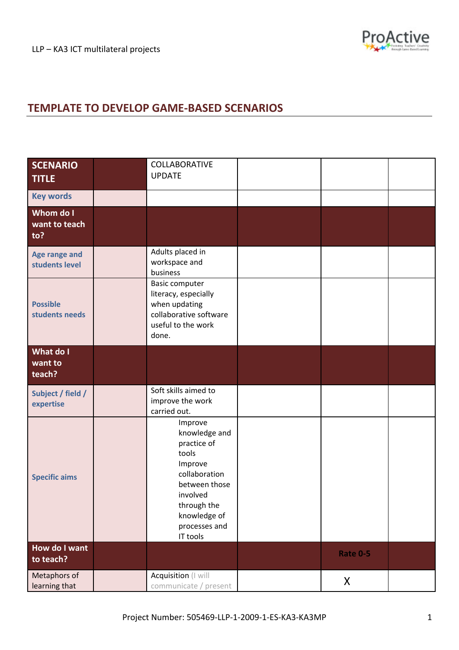## **TEMPLATE TO DEVELOP GAME‐BASED SCENARIOS**

| <b>SCENARIO</b><br><b>TITLE</b>   | COLLABORATIVE<br><b>UPDATE</b>                                                                                                                                        |                 |  |
|-----------------------------------|-----------------------------------------------------------------------------------------------------------------------------------------------------------------------|-----------------|--|
| <b>Key words</b>                  |                                                                                                                                                                       |                 |  |
| Whom do I<br>want to teach<br>to? |                                                                                                                                                                       |                 |  |
| Age range and<br>students level   | Adults placed in<br>workspace and<br>business                                                                                                                         |                 |  |
| <b>Possible</b><br>students needs | <b>Basic computer</b><br>literacy, especially<br>when updating<br>collaborative software<br>useful to the work<br>done.                                               |                 |  |
| What do I<br>want to<br>teach?    |                                                                                                                                                                       |                 |  |
| Subject / field /<br>expertise    | Soft skills aimed to<br>improve the work<br>carried out.                                                                                                              |                 |  |
| <b>Specific aims</b>              | Improve<br>knowledge and<br>practice of<br>tools<br>Improve<br>collaboration<br>between those<br>involved<br>through the<br>knowledge of<br>processes and<br>IT tools |                 |  |
| How do I want<br>to teach?        |                                                                                                                                                                       | <b>Rate 0-5</b> |  |
| Metaphors of<br>learning that     | Acquisition (I will<br>communicate / present                                                                                                                          | X               |  |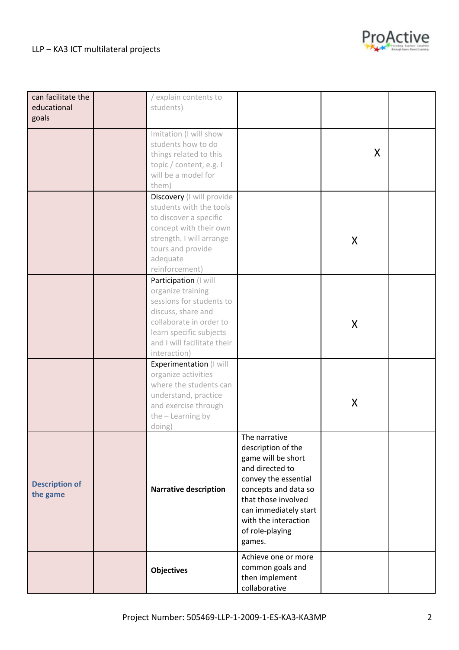## LLP – KA3 ICT multilateral projects



| can facilitate the    | / explain contents to        |                       |   |  |
|-----------------------|------------------------------|-----------------------|---|--|
| educational           |                              |                       |   |  |
|                       | students)                    |                       |   |  |
| goals                 |                              |                       |   |  |
|                       | Imitation (I will show       |                       |   |  |
|                       | students how to do           |                       |   |  |
|                       | things related to this       |                       | X |  |
|                       |                              |                       |   |  |
|                       | topic / content, e.g. I      |                       |   |  |
|                       | will be a model for          |                       |   |  |
|                       | them)                        |                       |   |  |
|                       | Discovery (I will provide    |                       |   |  |
|                       | students with the tools      |                       |   |  |
|                       | to discover a specific       |                       |   |  |
|                       | concept with their own       |                       |   |  |
|                       | strength. I will arrange     |                       |   |  |
|                       | tours and provide            |                       | X |  |
|                       |                              |                       |   |  |
|                       | adequate                     |                       |   |  |
|                       | reinforcement)               |                       |   |  |
|                       | Participation (I will        |                       |   |  |
|                       | organize training            |                       |   |  |
|                       | sessions for students to     |                       |   |  |
|                       | discuss, share and           |                       |   |  |
|                       | collaborate in order to      |                       | X |  |
|                       | learn specific subjects      |                       |   |  |
|                       | and I will facilitate their  |                       |   |  |
|                       | interaction)                 |                       |   |  |
|                       | Experimentation (I will      |                       |   |  |
|                       | organize activities          |                       |   |  |
|                       | where the students can       |                       |   |  |
|                       |                              |                       |   |  |
|                       | understand, practice         |                       | X |  |
|                       | and exercise through         |                       |   |  |
|                       | the - Learning by            |                       |   |  |
|                       | doing)                       |                       |   |  |
|                       |                              | The narrative         |   |  |
|                       |                              | description of the    |   |  |
|                       |                              | game will be short    |   |  |
|                       |                              | and directed to       |   |  |
|                       |                              | convey the essential  |   |  |
| <b>Description of</b> | <b>Narrative description</b> | concepts and data so  |   |  |
| the game              |                              | that those involved   |   |  |
|                       |                              |                       |   |  |
|                       |                              | can immediately start |   |  |
|                       |                              | with the interaction  |   |  |
|                       |                              | of role-playing       |   |  |
|                       |                              | games.                |   |  |
|                       |                              | Achieve one or more   |   |  |
|                       | <b>Objectives</b>            | common goals and      |   |  |
|                       |                              | then implement        |   |  |
|                       |                              | collaborative         |   |  |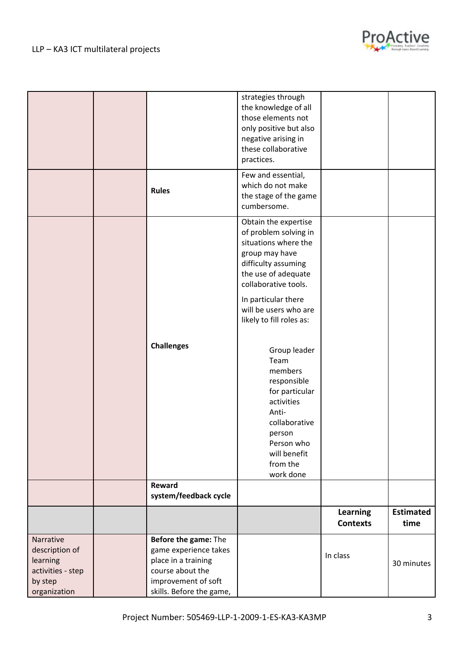



|                                                                                         |                                                                                                                                             | strategies through<br>the knowledge of all<br>those elements not<br>only positive but also<br>negative arising in<br>these collaborative<br>practices.                    |                             |                          |
|-----------------------------------------------------------------------------------------|---------------------------------------------------------------------------------------------------------------------------------------------|---------------------------------------------------------------------------------------------------------------------------------------------------------------------------|-----------------------------|--------------------------|
|                                                                                         | <b>Rules</b>                                                                                                                                | Few and essential,<br>which do not make<br>the stage of the game<br>cumbersome.                                                                                           |                             |                          |
|                                                                                         |                                                                                                                                             | Obtain the expertise<br>of problem solving in<br>situations where the<br>group may have<br>difficulty assuming<br>the use of adequate<br>collaborative tools.             |                             |                          |
|                                                                                         |                                                                                                                                             | In particular there<br>will be users who are<br>likely to fill roles as:                                                                                                  |                             |                          |
|                                                                                         | <b>Challenges</b>                                                                                                                           | Group leader<br>Team<br>members<br>responsible<br>for particular<br>activities<br>Anti-<br>collaborative<br>person<br>Person who<br>will benefit<br>from the<br>work done |                             |                          |
|                                                                                         | Reward<br>system/feedback cycle                                                                                                             |                                                                                                                                                                           |                             |                          |
|                                                                                         |                                                                                                                                             |                                                                                                                                                                           | Learning<br><b>Contexts</b> | <b>Estimated</b><br>time |
| Narrative<br>description of<br>learning<br>activities - step<br>by step<br>organization | Before the game: The<br>game experience takes<br>place in a training<br>course about the<br>improvement of soft<br>skills. Before the game, |                                                                                                                                                                           | In class                    | 30 minutes               |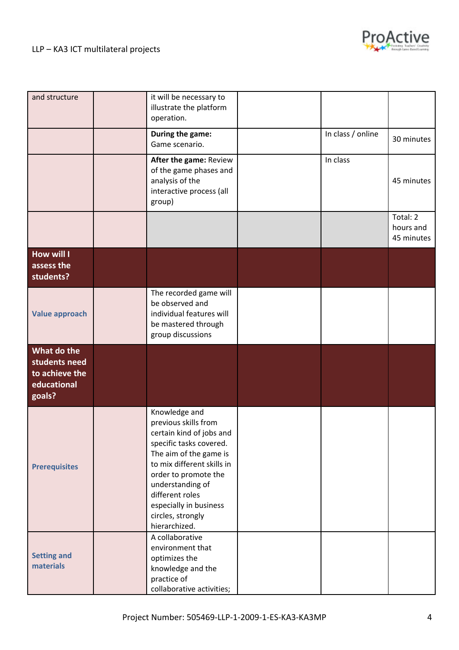

| and structure                                                           | it will be necessary to<br>illustrate the platform<br>operation.                                                                                                                                                                                                                    |                   |                                     |
|-------------------------------------------------------------------------|-------------------------------------------------------------------------------------------------------------------------------------------------------------------------------------------------------------------------------------------------------------------------------------|-------------------|-------------------------------------|
|                                                                         | During the game:<br>Game scenario.                                                                                                                                                                                                                                                  | In class / online | 30 minutes                          |
|                                                                         | After the game: Review<br>of the game phases and<br>analysis of the<br>interactive process (all<br>group)                                                                                                                                                                           | In class          | 45 minutes                          |
|                                                                         |                                                                                                                                                                                                                                                                                     |                   | Total: 2<br>hours and<br>45 minutes |
| <b>How will I</b><br>assess the<br>students?                            |                                                                                                                                                                                                                                                                                     |                   |                                     |
| <b>Value approach</b>                                                   | The recorded game will<br>be observed and<br>individual features will<br>be mastered through<br>group discussions                                                                                                                                                                   |                   |                                     |
| What do the<br>students need<br>to achieve the<br>educational<br>goals? |                                                                                                                                                                                                                                                                                     |                   |                                     |
| <b>Prerequisites</b>                                                    | Knowledge and<br>previous skills from<br>certain kind of jobs and<br>specific tasks covered.<br>The aim of the game is<br>to mix different skills in<br>order to promote the<br>understanding of<br>different roles<br>especially in business<br>circles, strongly<br>hierarchized. |                   |                                     |
| <b>Setting and</b><br>materials                                         | A collaborative<br>environment that<br>optimizes the<br>knowledge and the<br>practice of<br>collaborative activities;                                                                                                                                                               |                   |                                     |